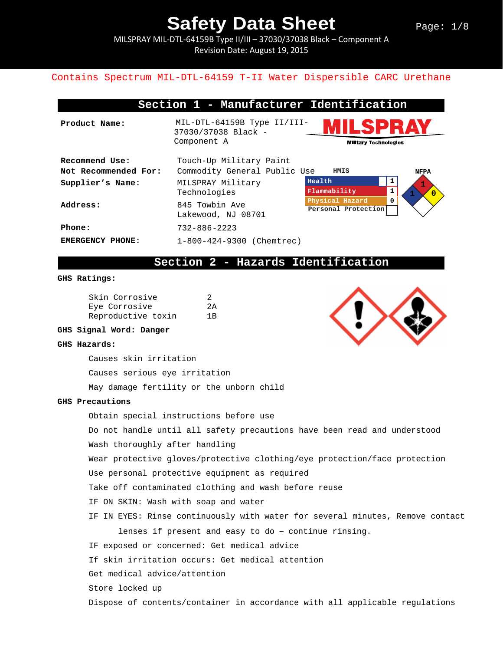MILSPRAY MIL-DTL-64159B Type II/III – 37030/37038 Black – Component A Revision Date: August 19, 2015

#### Contains Spectrum MIL-DTL-64159 T-II Water Dispersible CARC Urethane

|                      | Section 1 - Manufacturer Identification            |                                        |                |
|----------------------|----------------------------------------------------|----------------------------------------|----------------|
| Product Name:        | MIL-DTL-64159B Type II/III-<br>37030/37038 Black - | I SPR <i>I</i>                         |                |
|                      | Component A<br><b>Military Technologies</b>        |                                        |                |
| Recommend Use:       | Touch-Up Military Paint                            |                                        |                |
| Not Recommended For: | Commodity General Public Use                       | HMIS                                   | <b>NFPA</b>    |
| Supplier's Name:     | MILSPRAY Military                                  | Health                                 |                |
|                      | Technologies                                       | Flammability                           | $\overline{0}$ |
| Address:             | 845 Towbin Ave                                     | Physical Hazard<br>Personal Protection | 0              |
|                      | Lakewood, NJ 08701                                 |                                        |                |
| Phone:               | $732 - 886 - 2223$                                 |                                        |                |
| EMERGENCY PHONE:     | 1-800-424-9300 (Chemtrec)                          |                                        |                |

## **Section 2 - Hazards Identification**

#### **GHS Ratings:**

| Skin Corrosive     | 2  |
|--------------------|----|
| Eye Corrosive      | 2A |
| Reproductive toxin | 1R |

**GHS Signal Word: Danger**

#### **GHS Hazards:**

Causes skin irritation

Causes serious eye irritation

May damage fertility or the unborn child

#### **GHS Precautions**

Obtain special instructions before use

Do not handle until all safety precautions have been read and understood

Wash thoroughly after handling

Wear protective gloves/protective clothing/eye protection/face protection

Use personal protective equipment as required

Take off contaminated clothing and wash before reuse

IF ON SKIN: Wash with soap and water

IF IN EYES: Rinse continuously with water for several minutes, Remove contact

lenses if present and easy to do – continue rinsing.

IF exposed or concerned: Get medical advice

If skin irritation occurs: Get medical attention

Get medical advice/attention

Store locked up

Dispose of contents/container in accordance with all applicable regulations

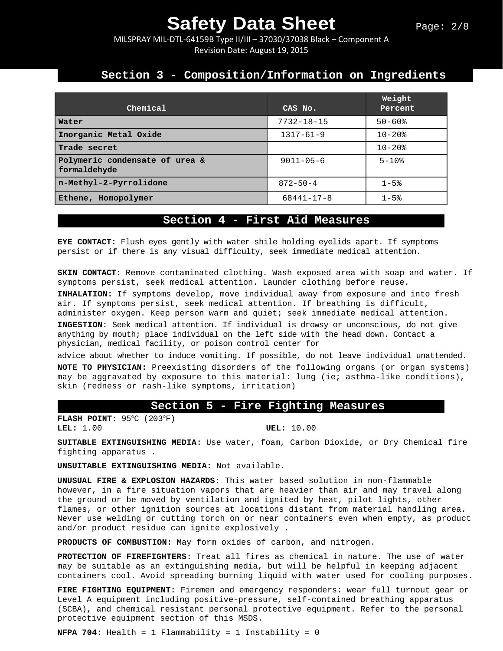MILSPRAY MIL-DTL-64159B Type II/III – 37030/37038 Black – Component A Revision Date: August 19, 2015

### **Section 3 - Composition/Information on Ingredients**

| Chemical                                       | CAS No.          | Weight<br>Percent |
|------------------------------------------------|------------------|-------------------|
| Water                                          | $7732 - 18 - 15$ | $50 - 60$ %       |
| Inorganic Metal Oxide                          | $1317 - 61 - 9$  | $10 - 20$ $%$     |
| Trade secret                                   |                  | $10 - 20$ $%$     |
| Polymeric condensate of urea &<br>formaldehyde | $9011 - 05 - 6$  | $5 - 10$ %        |
| n-Methyl-2-Pyrrolidone                         | $872 - 50 - 4$   | $1 - 5$ %         |
| Ethene, Homopolymer                            | $68441 - 17 - 8$ | $1 - 5$ %         |

### **Section 4 - First Aid Measures**

**EYE CONTACT:** Flush eyes gently with water shile holding eyelids apart. If symptoms persist or if there is any visual difficulty, seek immediate medical attention.

**SKIN CONTACT:** Remove contaminated clothing. Wash exposed area with soap and water. If symptoms persist, seek medical attention. Launder clothing before reuse.

**INHALATION:** If symptoms develop, move individual away from exposure and into fresh air. If symptoms persist, seek medical attention. If breathing is difficult, administer oxygen. Keep person warm and quiet; seek immediate medical attention.

**INGESTION:** Seek medical attention. If individual is drowsy or unconscious, do not give anything by mouth; place individual on the left side with the head down. Contact a physician, medical facility, or poison control center for

advice about whether to induce vomiting. If possible, do not leave individual unattended. **NOTE TO PHYSICIAN:** Preexisting disorders of the following organs (or organ systems) may be aggravated by exposure to this material: lung (ie; asthma-like conditions), skin (redness or rash-like symptoms, irritation)

#### **Section 5 - Fire Fighting Measures**

**FLASH POINT:** 95°C (203°F)<br>**LEL:** 1.00

**UEL:** 10.00

**SUITABLE EXTINGUISHING MEDIA:** Use water, foam, Carbon Dioxide, or Dry Chemical fire fighting apparatus .

**UNSUITABLE EXTINGUISHING MEDIA:** Not available.

**UNUSUAL FIRE & EXPLOSION HAZARDS:** This water based solution in non-flammable however, in a fire situation vapors that are heavier than air and may travel along the ground or be moved by ventilation and ignited by heat, pilot lights, other flames, or other ignition sources at locations distant from material handling area. Never use welding or cutting torch on or near containers even when empty, as product and/or product residue can ignite explosively .

**PRODUCTS OF COMBUSTION:** May form oxides of carbon, and nitrogen.

**PROTECTION OF FIREFIGHTERS:** Treat all fires as chemical in nature. The use of water may be suitable as an extinguishing media, but will be helpful in keeping adjacent containers cool. Avoid spreading burning liquid with water used for cooling purposes.

**FIRE FIGHTING EQUIPMENT:** Firemen and emergency responders: wear full turnout gear or Level A equipment including positive-pressure, self-contained breathing apparatus (SCBA), and chemical resistant personal protective equipment. Refer to the personal protective equipment section of this MSDS.

**NFPA 704:** Health = 1 Flammability = 1 Instability = 0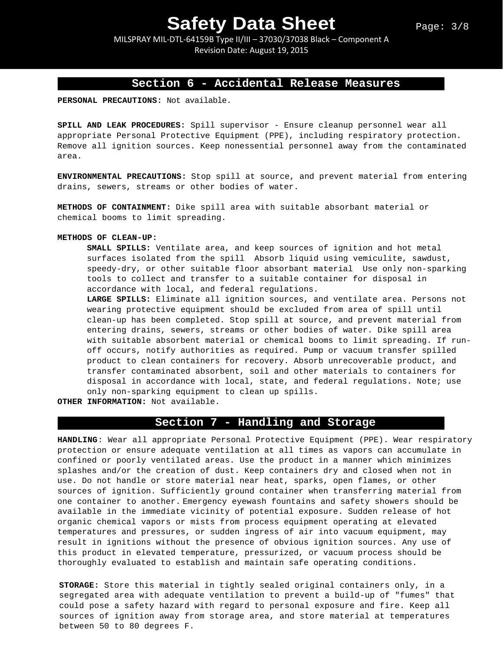MILSPRAY MIL-DTL-64159B Type II/III – 37030/37038 Black – Component A Revision Date: August 19, 2015

### **Section 6 - Accidental Release Measures**

**PERSONAL PRECAUTIONS:** Not available.

**SPILL AND LEAK PROCEDURES:** Spill supervisor - Ensure cleanup personnel wear all appropriate Personal Protective Equipment (PPE), including respiratory protection. Remove all ignition sources. Keep nonessential personnel away from the contaminated area.

**ENVIRONMENTAL PRECAUTIONS:** Stop spill at source, and prevent material from entering drains, sewers, streams or other bodies of water.

**METHODS OF CONTAINMENT:** Dike spill area with suitable absorbant material or chemical booms to limit spreading.

#### **METHODS OF CLEAN-UP:**

**SMALL SPILLS:** Ventilate area, and keep sources of ignition and hot metal surfaces isolated from the spill Absorb liquid using vemiculite, sawdust, speedy-dry, or other suitable floor absorbant material Use only non-sparking tools to collect and transfer to a suitable container for disposal in accordance with local, and federal regulations.

**LARGE SPILLS:** Eliminate all ignition sources, and ventilate area. Persons not wearing protective equipment should be excluded from area of spill until clean-up has been completed. Stop spill at source, and prevent material from entering drains, sewers, streams or other bodies of water. Dike spill area with suitable absorbent material or chemical booms to limit spreading. If runoff occurs, notify authorities as required. Pump or vacuum transfer spilled product to clean containers for recovery. Absorb unrecoverable product, and transfer contaminated absorbent, soil and other materials to containers for disposal in accordance with local, state, and federal regulations. Note; use only non-sparking equipment to clean up spills.

**OTHER INFORMATION:** Not available.

### **Section 7 - Handling and Storage**

**HANDLING**: Wear all appropriate Personal Protective Equipment (PPE). Wear respiratory protection or ensure adequate ventilation at all times as vapors can accumulate in confined or poorly ventilated areas. Use the product in a manner which minimizes splashes and/or the creation of dust. Keep containers dry and closed when not in use. Do not handle or store material near heat, sparks, open flames, or other sources of ignition. Sufficiently ground container when transferring material from one container to another. Emergency eyewash fountains and safety showers should be available in the immediate vicinity of potential exposure. Sudden release of hot organic chemical vapors or mists from process equipment operating at elevated temperatures and pressures, or sudden ingress of air into vacuum equipment, may result in ignitions without the presence of obvious ignition sources. Any use of this product in elevated temperature, pressurized, or vacuum process should be thoroughly evaluated to establish and maintain safe operating conditions.

**STORAGE:** Store this material in tightly sealed original containers only, in a segregated area with adequate ventilation to prevent a build-up of "fumes" that could pose a safety hazard with regard to personal exposure and fire. Keep all sources of ignition away from storage area, and store material at temperatures between 50 to 80 degrees F.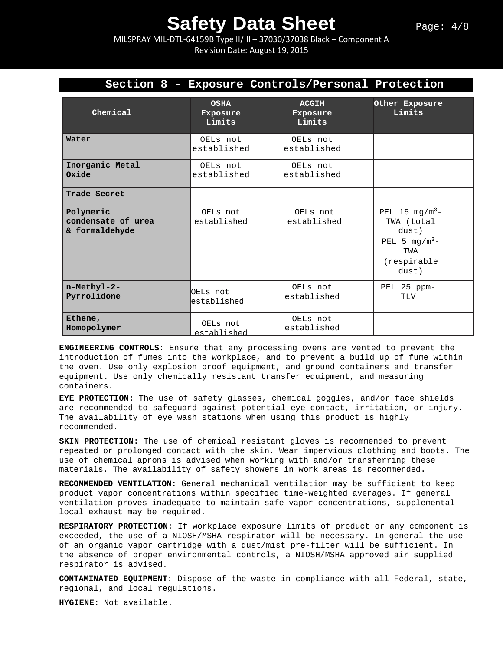MILSPRAY MIL-DTL-64159B Type II/III – 37030/37038 Black – Component A Revision Date: August 19, 2015

| Section 8 - Exposure Controls/Personal Protection |                                   |                                    |                                                                                                      |  |
|---------------------------------------------------|-----------------------------------|------------------------------------|------------------------------------------------------------------------------------------------------|--|
| Chemical                                          | <b>OSHA</b><br>Exposure<br>Limits | <b>ACGIH</b><br>Exposure<br>Limits | Other Exposure<br>Limits                                                                             |  |
| Water                                             | OELs not<br>established           | OELs not<br>established            |                                                                                                      |  |
| Inorganic Metal<br>Oxide                          | OELs not<br>established           | OELs not<br>established            |                                                                                                      |  |
| Trade Secret                                      |                                   |                                    |                                                                                                      |  |
| Polymeric<br>condensate of urea<br>& formaldehyde | OELs not<br>established           | OELs not<br>established            | PEL 15 $mg/m^3$ -<br>TWA (total<br>dust)<br>PEL 5 mg/m <sup>3</sup> -<br>TWA<br>(respirable<br>dust) |  |
| n-Methyl-2-<br>Pyrrolidone                        | OELs not<br>established           | OELs not<br>established            | PEL 25 ppm-<br>TLV                                                                                   |  |
| Ethene,<br>Homopolymer                            | OELs not<br>established           | OELs not<br>established            |                                                                                                      |  |

**ENGINEERING CONTROLS:** Ensure that any processing ovens are vented to prevent the introduction of fumes into the workplace, and to prevent a build up of fume within the oven. Use only explosion proof equipment, and ground containers and transfer equipment. Use only chemically resistant transfer equipment, and measuring containers.

**EYE PROTECTION**: The use of safety glasses, chemical goggles, and/or face shields are recommended to safeguard against potential eye contact, irritation, or injury. The availability of eye wash stations when using this product is highly recommended.

**SKIN PROTECTION:** The use of chemical resistant gloves is recommended to prevent repeated or prolonged contact with the skin. Wear impervious clothing and boots. The use of chemical aprons is advised when working with and/or transferring these materials. The availability of safety showers in work areas is recommended**.** 

**RECOMMENDED VENTILATION:** General mechanical ventilation may be sufficient to keep product vapor concentrations within specified time-weighted averages. If general ventilation proves inadequate to maintain safe vapor concentrations, supplemental local exhaust may be required.

**RESPIRATORY PROTECTION**: If workplace exposure limits of product or any component is exceeded, the use of a NIOSH/MSHA respirator will be necessary. In general the use of an organic vapor cartridge with a dust/mist pre-filter will be sufficient. In the absence of proper environmental controls, a NIOSH/MSHA approved air supplied respirator is advised.

**CONTAMINATED EQUIPMENT:** Dispose of the waste in compliance with all Federal, state, regional, and local regulations.

**HYGIENE:** Not available.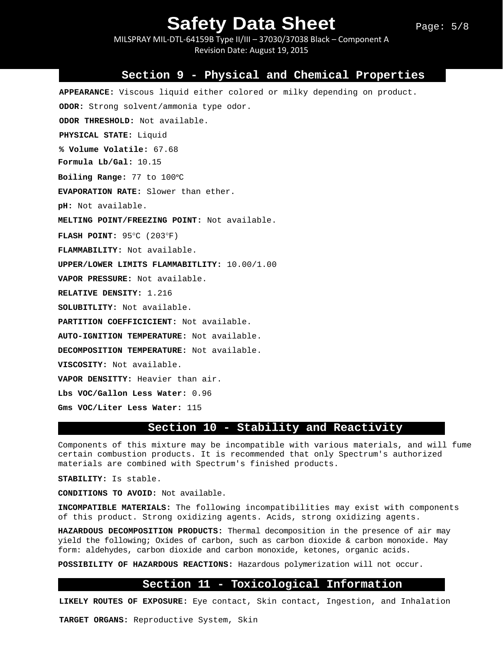MILSPRAY MIL-DTL-64159B Type II/III – 37030/37038 Black – Component A Revision Date: August 19, 2015

#### **Section 9 - Physical and Chemical Properties**

**APPEARANCE:** Viscous liquid either colored or milky depending on product. **ODOR:** Strong solvent/ammonia type odor. **ODOR THRESHOLD:** Not available. **PHYSICAL STATE:** Liquid **% Volume Volatile:** 67.68 **Formula Lb/Gal:** 10.15 **Boiling Range:** 77 to 100ᵒC **EVAPORATION RATE:** Slower than ether. **pH:** Not available. **MELTING POINT/FREEZING POINT:** Not available. **FLASH POINT:** 95°C (203°F) **FLAMMABILITY:** Not available. **UPPER/LOWER LIMITS FLAMMABITLITY:** 10.00/1.00 **VAPOR PRESSURE:** Not available. **RELATIVE DENSITY:** 1.216 **SOLUBITLITY:** Not available. **PARTITION COEFFICICIENT:** Not available. **AUTO-IGNITION TEMPERATURE:** Not available. **DECOMPOSITION TEMPERATURE:** Not available. **VISCOSITY:** Not available. **VAPOR DENSITTY:** Heavier than air. **Lbs VOC/Gallon Less Water:** 0.96 **Gms VOC/Liter Less Water:** 115

#### **Section 10 - Stability and Reactivity**

Components of this mixture may be incompatible with various materials, and will fume certain combustion products. It is recommended that only Spectrum's authorized materials are combined with Spectrum's finished products.

**STABILITY:** Is stable.

**CONDITIONS TO AVOID:** Not available.

**INCOMPATIBLE MATERIALS:** The following incompatibilities may exist with components of this product. Strong oxidizing agents. Acids, strong oxidizing agents.

**HAZARDOUS DECOMPOSITION PRODUCTS:** Thermal decomposition in the presence of air may yield the following; Oxides of carbon, such as carbon dioxide & carbon monoxide. May form: aldehydes, carbon dioxide and carbon monoxide, ketones, organic acids.

**POSSIBILITY OF HAZARDOUS REACTIONS:** Hazardous polymerization will not occur.

#### **Section 11 - Toxicological Information**

**LIKELY ROUTES OF EXPOSURE:** Eye contact, Skin contact, Ingestion, and Inhalation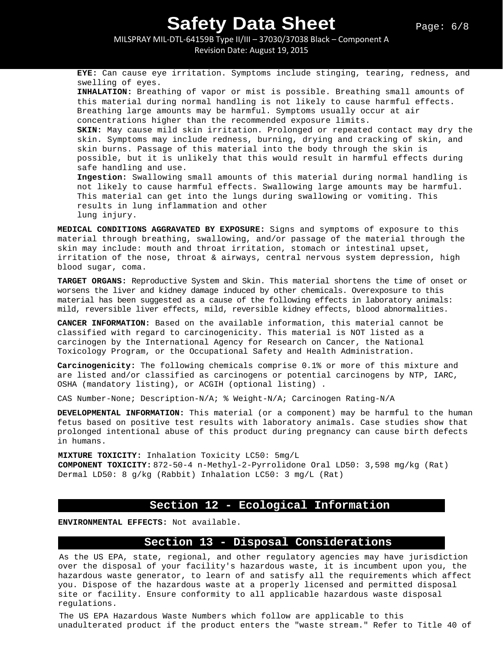MILSPRAY MIL-DTL-64159B Type II/III – 37030/37038 Black – Component A Revision Date: August 19, 2015

**EYE:** Can cause eye irritation. Symptoms include stinging, tearing, redness, and swelling of eyes. **INHALATION:** Breathing of vapor or mist is possible. Breathing small amounts of this material during normal handling is not likely to cause harmful effects. Breathing large amounts may be harmful. Symptoms usually occur at air concentrations higher than the recommended exposure limits. **SKIN:** May cause mild skin irritation. Prolonged or repeated contact may dry the skin. Symptoms may include redness, burning, drying and cracking of skin, and skin burns. Passage of this material into the body through the skin is possible, but it is unlikely that this would result in harmful effects during safe handling and use. **Ingestion:** Swallowing small amounts of this material during normal handling is not likely to cause harmful effects. Swallowing large amounts may be harmful. This material can get into the lungs during swallowing or vomiting. This results in lung inflammation and other lung injury.

**MEDICAL CONDITIONS AGGRAVATED BY EXPOSURE:** Signs and symptoms of exposure to this material through breathing, swallowing, and/or passage of the material through the skin may include: mouth and throat irritation, stomach or intestinal upset, irritation of the nose, throat & airways, central nervous system depression, high blood sugar, coma.

**TARGET ORGANS:** Reproductive System and Skin. This material shortens the time of onset or worsens the liver and kidney damage induced by other chemicals. Overexposure to this material has been suggested as a cause of the following effects in laboratory animals: mild, reversible liver effects, mild, reversible kidney effects, blood abnormalities.

**CANCER INFORMATION:** Based on the available information, this material cannot be classified with regard to carcinogenicity. This material is NOT listed as a carcinogen by the International Agency for Research on Cancer, the National Toxicology Program, or the Occupational Safety and Health Administration.

**Carcinogenicity:** The following chemicals comprise 0.1% or more of this mixture and are listed and/or classified as carcinogens or potential carcinogens by NTP, IARC, OSHA (mandatory listing), or ACGIH (optional listing) .

CAS Number-None; Description-N/A; % Weight-N/A; Carcinogen Rating-N/A

**DEVELOPMENTAL INFORMATION:** This material (or a component) may be harmful to the human fetus based on positive test results with laboratory animals. Case studies show that prolonged intentional abuse of this product during pregnancy can cause birth defects in humans.

**MIXTURE TOXICITY:** Inhalation Toxicity LC50: 5mg/L **COMPONENT TOXICITY:** 872-50-4 n-Methyl-2-Pyrrolidone Oral LD50: 3,598 mg/kg (Rat) Dermal LD50: 8 g/kg (Rabbit) Inhalation LC50: 3 mg/L (Rat)

### **Section 12 - Ecological Information**

**ENVIRONMENTAL EFFECTS:** Not available.

### **Section 13 - Disposal Considerations**

As the US EPA, state, regional, and other regulatory agencies may have jurisdiction over the disposal of your facility's hazardous waste, it is incumbent upon you, the hazardous waste generator, to learn of and satisfy all the requirements which affect you. Dispose of the hazardous waste at a properly licensed and permitted disposal site or facility. Ensure conformity to all applicable hazardous waste disposal regulations.

The US EPA Hazardous Waste Numbers which follow are applicable to this unadulterated product if the product enters the "waste stream." Refer to Title 40 of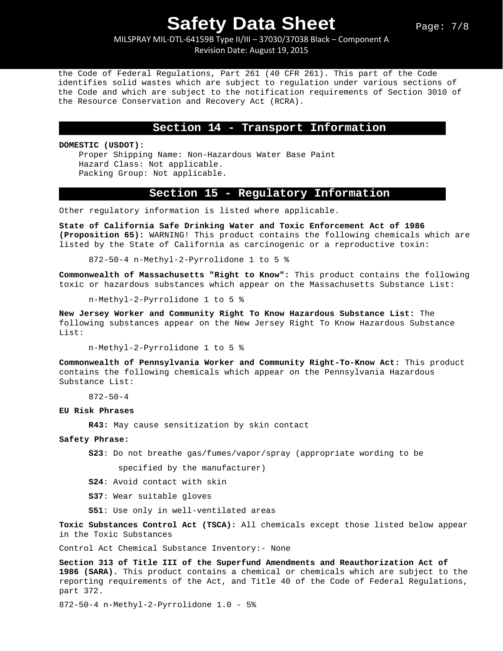MILSPRAY MIL-DTL-64159B Type II/III – 37030/37038 Black – Component A Revision Date: August 19, 2015

the Code of Federal Regulations, Part 261 (40 CFR 261). This part of the Code identifies solid wastes which are subject to regulation under various sections of the Code and which are subject to the notification requirements of Section 3010 of the Resource Conservation and Recovery Act (RCRA).

#### **Section 14 - Transport Information**

**DOMESTIC (USDOT):**

Proper Shipping Name: Non-Hazardous Water Base Paint Hazard Class: Not applicable. Packing Group: Not applicable.

### **Section 15 - Regulatory Information**

Other regulatory information is listed where applicable.

**State of California Safe Drinking Water and Toxic Enforcement Act of 1986 (Proposition 65):** WARNING! This product contains the following chemicals which are listed by the State of California as carcinogenic or a reproductive toxin:

872-50-4 n-Methyl-2-Pyrrolidone 1 to 5 %

**Commonwealth of Massachusetts "Right to Know":** This product contains the following toxic or hazardous substances which appear on the Massachusetts Substance List:

n-Methyl-2-Pyrrolidone 1 to 5 %

**New Jersey Worker and Community Right To Know Hazardous Substance List:** The following substances appear on the New Jersey Right To Know Hazardous Substance List:

n-Methyl-2-Pyrrolidone 1 to 5 %

**Commonwealth of Pennsylvania Worker and Community Right-To-Know Act:** This product contains the following chemicals which appear on the Pennsylvania Hazardous Substance List:

872-50-4

#### **EU Risk Phrases**

**R43:** May cause sensitization by skin contact

#### **Safety Phrase:**

**S23**: Do not breathe gas/fumes/vapor/spray (appropriate wording to be

specified by the manufacturer)

**S24**: Avoid contact with skin

**S37**: Wear suitable gloves

**S51**: Use only in well-ventilated areas

**Toxic Substances Control Act (TSCA):** All chemicals except those listed below appear in the Toxic Substances

Control Act Chemical Substance Inventory:- None

**Section 313 of Title III of the Superfund Amendments and Reauthorization Act of 1986 (SARA).** This product contains a chemical or chemicals which are subject to the reporting requirements of the Act, and Title 40 of the Code of Federal Regulations, part 372.

872-50-4 n-Methyl-2-Pyrrolidone 1.0 - 5%